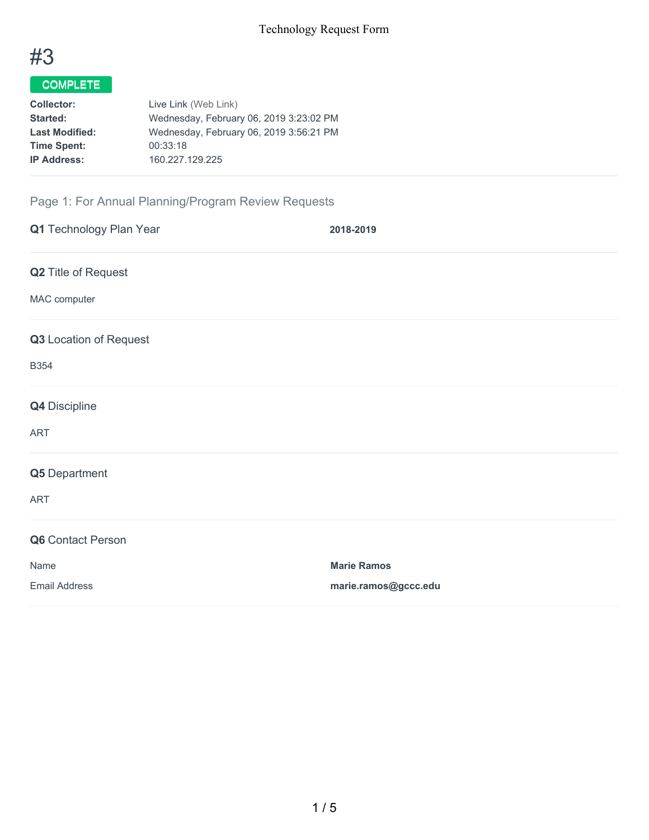

# COMPLETE

| <b>Collector:</b>     | Live Link (Web Link)                    |
|-----------------------|-----------------------------------------|
| <b>Started:</b>       | Wednesday, February 06, 2019 3:23:02 PM |
| <b>Last Modified:</b> | Wednesday, February 06, 2019 3:56:21 PM |
| <b>Time Spent:</b>    | 00:33:18                                |
| <b>IP Address:</b>    | 160.227.129.225                         |

# Page 1: For Annual Planning/Program Review Requests

| Q1 Technology Plan Year    | 2018-2019            |
|----------------------------|----------------------|
| <b>Q2</b> Title of Request |                      |
| MAC computer               |                      |
| Q3 Location of Request     |                      |
| <b>B354</b>                |                      |
| Q4 Discipline              |                      |
| <b>ART</b>                 |                      |
| Q5 Department              |                      |
| ART                        |                      |
| Q6 Contact Person          |                      |
| Name                       | <b>Marie Ramos</b>   |
| <b>Email Address</b>       | marie.ramos@gccc.edu |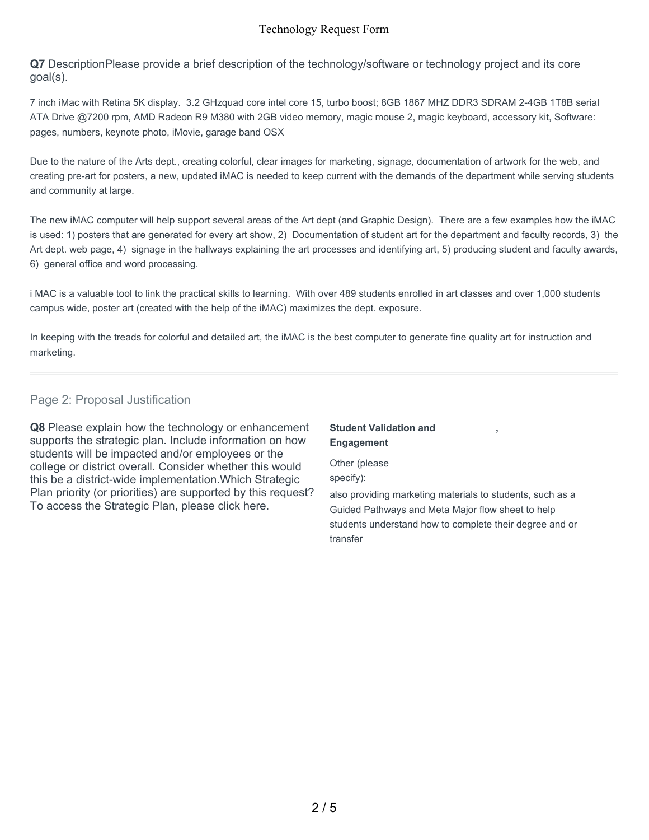### Technology Request Form

**Q7** DescriptionPlease provide a brief description of the technology/software or technology project and its core goal(s).

7 inch iMac with Retina 5K display. 3.2 GHzquad core intel core 15, turbo boost; 8GB 1867 MHZ DDR3 SDRAM 2-4GB 1T8B serial ATA Drive @7200 rpm, AMD Radeon R9 M380 with 2GB video memory, magic mouse 2, magic keyboard, accessory kit, Software: pages, numbers, keynote photo, iMovie, garage band OSX

Due to the nature of the Arts dept., creating colorful, clear images for marketing, signage, documentation of artwork for the web, and creating pre-art for posters, a new, updated iMAC is needed to keep current with the demands of the department while serving students and community at large.

The new iMAC computer will help support several areas of the Art dept (and Graphic Design). There are a few examples how the iMAC is used: 1) posters that are generated for every art show, 2) Documentation of student art for the department and faculty records, 3) the Art dept. web page, 4) signage in the hallways explaining the art processes and identifying art, 5) producing student and faculty awards, 6) general office and word processing.

i MAC is a valuable tool to link the practical skills to learning. With over 489 students enrolled in art classes and over 1,000 students campus wide, poster art (created with the help of the iMAC) maximizes the dept. exposure.

In keeping with the treads for colorful and detailed art, the iMAC is the best computer to generate fine quality art for instruction and marketing.

#### Page 2: Proposal Justification

**Q8** Please explain how the technology or enhancement supports the strategic plan. Include information on how students will be impacted and/or employees or the college or district overall. Consider whether this would this be a district-wide implementation.Which Strategic Plan priority (or priorities) are supported by this request? To access the Strategic Plan, please click here.

### **Student Validation and Engagement**

Other (please specify):

also providing marketing materials to students, such as a Guided Pathways and Meta Major flow sheet to help students understand how to complete their degree and or transfer

**,**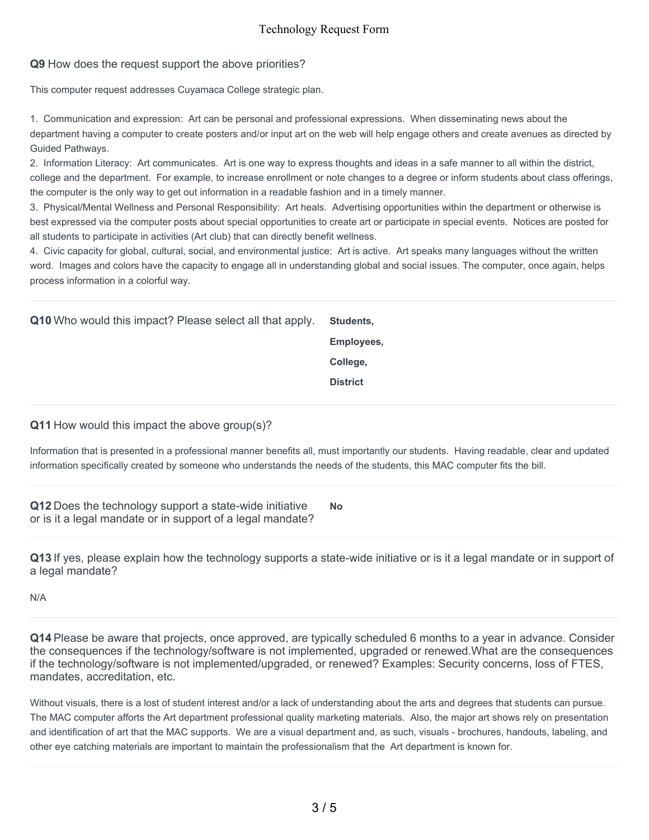## Technology Request Form

#### **Q9** How does the request support the above priorities?

This computer request addresses Cuyamaca College strategic plan.

1. Communication and expression: Art can be personal and professional expressions. When disseminating news about the department having a computer to create posters and/or input art on the web will help engage others and create avenues as directed by Guided Pathways.

2. Information Literacy: Art communicates. Art is one way to express thoughts and ideas in a safe manner to all within the district, college and the department. For example, to increase enrollment or note changes to a degree or inform students about class offerings, the computer is the only way to get out information in a readable fashion and in a timely manner.

3. Physical/Mental Wellness and Personal Responsibility: Art heals. Advertising opportunities within the department or otherwise is best expressed via the computer posts about special opportunities to create art or participate in special events. Notices are posted for all students to participate in activities (Art club) that can directly benefit wellness.

4. Civic capacity for global, cultural, social, and environmental justice: Art is active. Art speaks many languages without the written word. Images and colors have the capacity to engage all in understanding global and social issues. The computer, once again, helps process information in a colorful way.

**Q10** Who would this impact? Please select all that apply. **Students,**

**Employees,**

**College,**

**District**

**Q11** How would this impact the above group(s)?

Information that is presented in a professional manner benefits all, must importantly our students. Having readable, clear and updated information specifically created by someone who understands the needs of the students, this MAC computer fits the bill.

**Q12** Does the technology support a state-wide initiative or is it a legal mandate or in support of a legal mandate? **No**

**Q13** If yes, please explain how the technology supports a state-wide initiative or is it a legal mandate or in support of a legal mandate?

N/A

**Q14** Please be aware that projects, once approved, are typically scheduled 6 months to a year in advance. Consider the consequences if the technology/software is not implemented, upgraded or renewed.What are the consequences if the technology/software is not implemented/upgraded, or renewed? Examples: Security concerns, loss of FTES, mandates, accreditation, etc.

Without visuals, there is a lost of student interest and/or a lack of understanding about the arts and degrees that students can pursue. The MAC computer afforts the Art department professional quality marketing materials. Also, the major art shows rely on presentation and identification of art that the MAC supports. We are a visual department and, as such, visuals - brochures, handouts, labeling, and other eye catching materials are important to maintain the professionalism that the Art department is known for.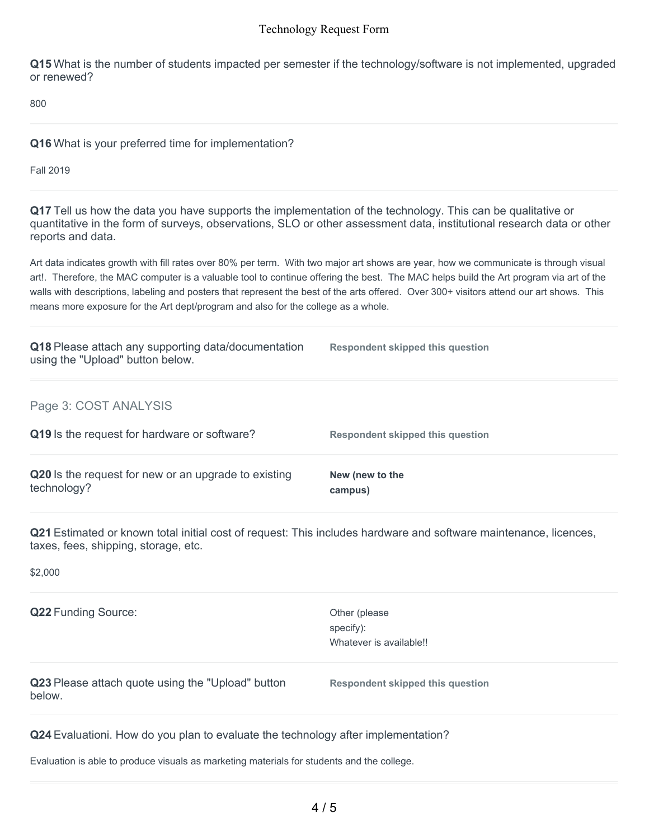#### Technology Request Form

**Q15** What is the number of students impacted per semester if the technology/software is not implemented, upgraded or renewed?

800

**Q16** What is your preferred time for implementation?

Fall 2019

**Q17** Tell us how the data you have supports the implementation of the technology. This can be qualitative or quantitative in the form of surveys, observations, SLO or other assessment data, institutional research data or other reports and data.

Art data indicates growth with fill rates over 80% per term. With two major art shows are year, how we communicate is through visual art!. Therefore, the MAC computer is a valuable tool to continue offering the best. The MAC helps build the Art program via art of the walls with descriptions, labeling and posters that represent the best of the arts offered. Over 300+ visitors attend our art shows. This means more exposure for the Art dept/program and also for the college as a whole.

| Q18 Please attach any supporting data/documentation<br>using the "Upload" button below. | Respondent skipped this question |
|-----------------------------------------------------------------------------------------|----------------------------------|
| Page 3: COST ANALYSIS                                                                   |                                  |
| Q19 Is the request for hardware or software?                                            | Respondent skipped this question |
| Q20 Is the request for new or an upgrade to existing<br>technology?                     | New (new to the<br>campus)       |

**Q21** Estimated or known total initial cost of request: This includes hardware and software maintenance, licences, taxes, fees, shipping, storage, etc.

\$2,000

**Q22** Funding Source: Whatever is available!! Other (please specify): **Q23** Please attach quote using the "Upload" button below. **Respondent skipped this question**

**Q24** Evaluationi. How do you plan to evaluate the technology after implementation?

Evaluation is able to produce visuals as marketing materials for students and the college.